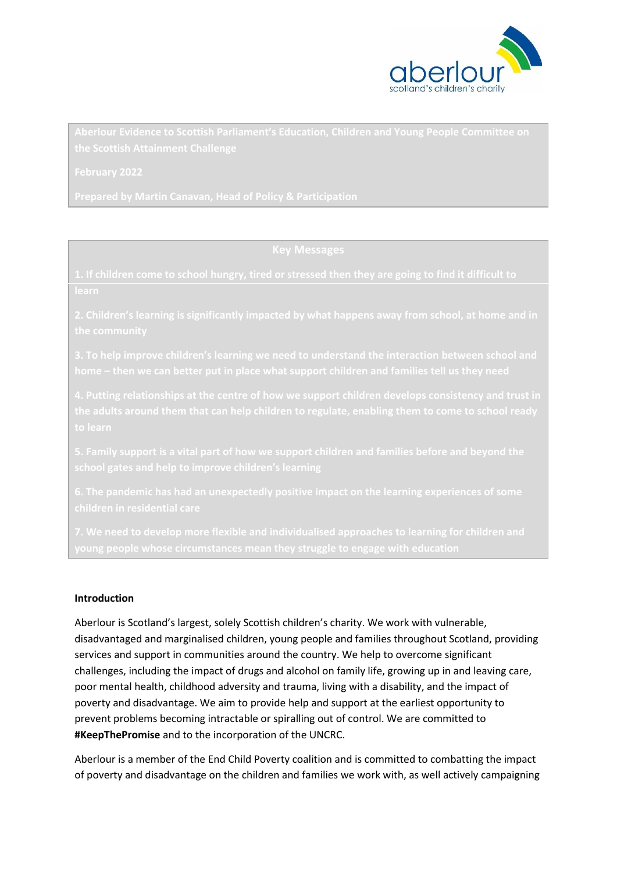

### **Introduction**

Aberlour is Scotland's largest, solely Scottish children's charity. We work with vulnerable, disadvantaged and marginalised children, young people and families throughout Scotland, providing services and support in communities around the country. We help to overcome significant challenges, including the impact of drugs and alcohol on family life, growing up in and leaving care, poor mental health, childhood adversity and trauma, living with a disability, and the impact of poverty and disadvantage. We aim to provide help and support at the earliest opportunity to prevent problems becoming intractable or spiralling out of control. We are committed to **#KeepThePromise** and to the incorporation of the UNCRC.

Aberlour is a member of the End Child Poverty coalition and is committed to combatting the impact of poverty and disadvantage on the children and families we work with, as well actively campaigning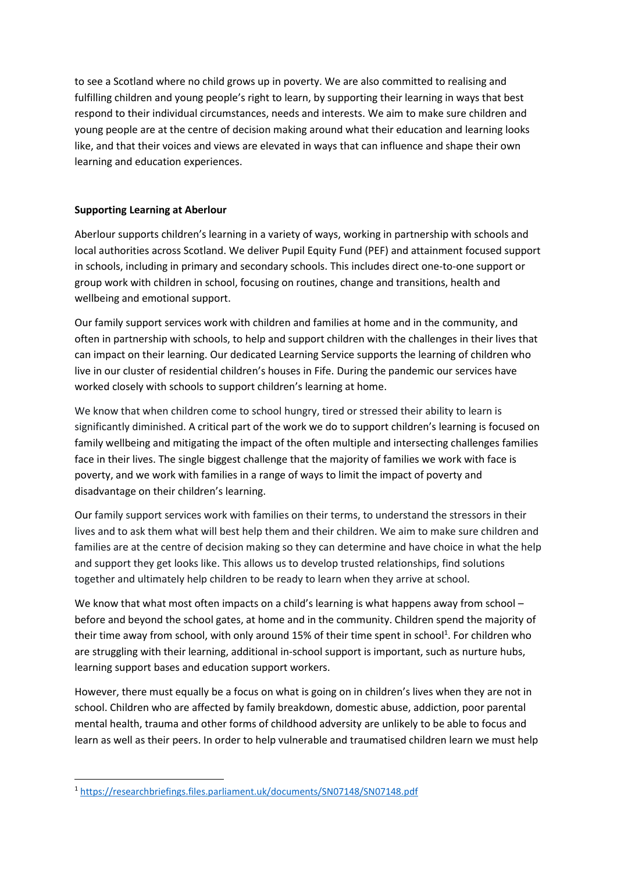to see a Scotland where no child grows up in poverty. We are also committed to realising and fulfilling children and young people's right to learn, by supporting their learning in ways that best respond to their individual circumstances, needs and interests. We aim to make sure children and young people are at the centre of decision making around what their education and learning looks like, and that their voices and views are elevated in ways that can influence and shape their own learning and education experiences.

# **Supporting Learning at Aberlour**

Aberlour supports children's learning in a variety of ways, working in partnership with schools and local authorities across Scotland. We deliver Pupil Equity Fund (PEF) and attainment focused support in schools, including in primary and secondary schools. This includes direct one-to-one support or group work with children in school, focusing on routines, change and transitions, health and wellbeing and emotional support.

Our family support services work with children and families at home and in the community, and often in partnership with schools, to help and support children with the challenges in their lives that can impact on their learning. Our dedicated Learning Service supports the learning of children who live in our cluster of residential children's houses in Fife. During the pandemic our services have worked closely with schools to support children's learning at home.

We know that when children come to school hungry, tired or stressed their ability to learn is significantly diminished. A critical part of the work we do to support children's learning is focused on family wellbeing and mitigating the impact of the often multiple and intersecting challenges families face in their lives. The single biggest challenge that the majority of families we work with face is poverty, and we work with families in a range of ways to limit the impact of poverty and disadvantage on their children's learning.

Our family support services work with families on their terms, to understand the stressors in their lives and to ask them what will best help them and their children. We aim to make sure children and families are at the centre of decision making so they can determine and have choice in what the help and support they get looks like. This allows us to develop trusted relationships, find solutions together and ultimately help children to be ready to learn when they arrive at school.

We know that what most often impacts on a child's learning is what happens away from school before and beyond the school gates, at home and in the community. Children spend the majority of their time away from school, with only around 15% of their time spent in school<sup>1</sup>. For children who are struggling with their learning, additional in-school support is important, such as nurture hubs, learning support bases and education support workers.

However, there must equally be a focus on what is going on in children's lives when they are not in school. Children who are affected by family breakdown, domestic abuse, addiction, poor parental mental health, trauma and other forms of childhood adversity are unlikely to be able to focus and learn as well as their peers. In order to help vulnerable and traumatised children learn we must help

**.** 

<sup>1</sup> <https://researchbriefings.files.parliament.uk/documents/SN07148/SN07148.pdf>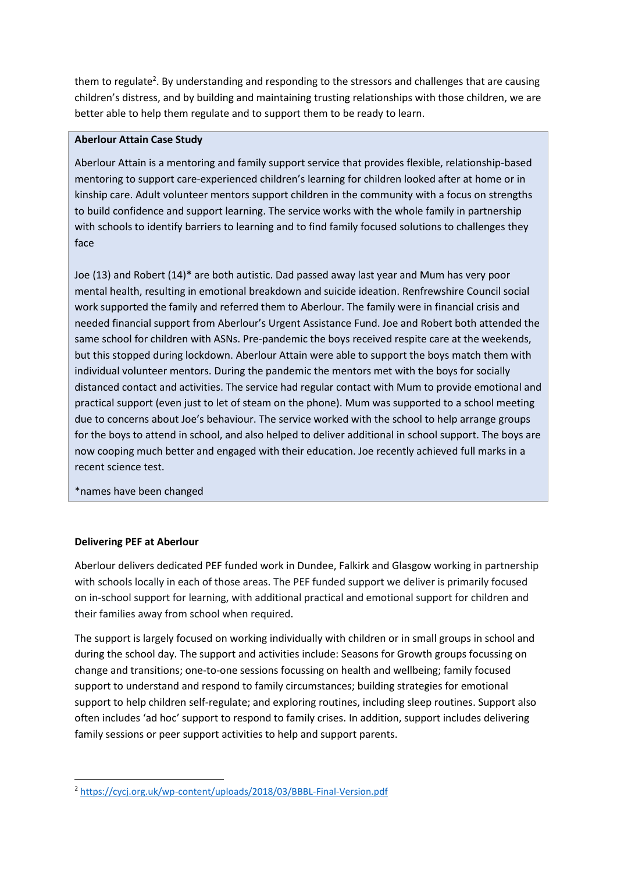them to regulate<sup>2</sup>. By understanding and responding to the stressors and challenges that are causing children's distress, and by building and maintaining trusting relationships with those children, we are better able to help them regulate and to support them to be ready to learn.

# **Aberlour Attain Case Study**

Aberlour Attain is a mentoring and family support service that provides flexible, relationship-based mentoring to support care-experienced children's learning for children looked after at home or in kinship care. Adult volunteer mentors support children in the community with a focus on strengths to build confidence and support learning. The service works with the whole family in partnership with schools to identify barriers to learning and to find family focused solutions to challenges they face

Joe (13) and Robert (14)\* are both autistic. Dad passed away last year and Mum has very poor mental health, resulting in emotional breakdown and suicide ideation. Renfrewshire Council social work supported the family and referred them to Aberlour. The family were in financial crisis and needed financial support from Aberlour's Urgent Assistance Fund. Joe and Robert both attended the same school for children with ASNs. Pre-pandemic the boys received respite care at the weekends, but this stopped during lockdown. Aberlour Attain were able to support the boys match them with individual volunteer mentors. During the pandemic the mentors met with the boys for socially distanced contact and activities. The service had regular contact with Mum to provide emotional and practical support (even just to let of steam on the phone). Mum was supported to a school meeting due to concerns about Joe's behaviour. The service worked with the school to help arrange groups for the boys to attend in school, and also helped to deliver additional in school support. The boys are now cooping much better and engaged with their education. Joe recently achieved full marks in a recent science test.

\*names have been changed

### **Delivering PEF at Aberlour**

**.** 

Aberlour delivers dedicated PEF funded work in Dundee, Falkirk and Glasgow working in partnership with schools locally in each of those areas. The PEF funded support we deliver is primarily focused on in-school support for learning, with additional practical and emotional support for children and their families away from school when required.

The support is largely focused on working individually with children or in small groups in school and during the school day. The support and activities include: Seasons for Growth groups focussing on change and transitions; one-to-one sessions focussing on health and wellbeing; family focused support to understand and respond to family circumstances; building strategies for emotional support to help children self-regulate; and exploring routines, including sleep routines. Support also often includes 'ad hoc' support to respond to family crises. In addition, support includes delivering family sessions or peer support activities to help and support parents.

<sup>2</sup> <https://cycj.org.uk/wp-content/uploads/2018/03/BBBL-Final-Version.pdf>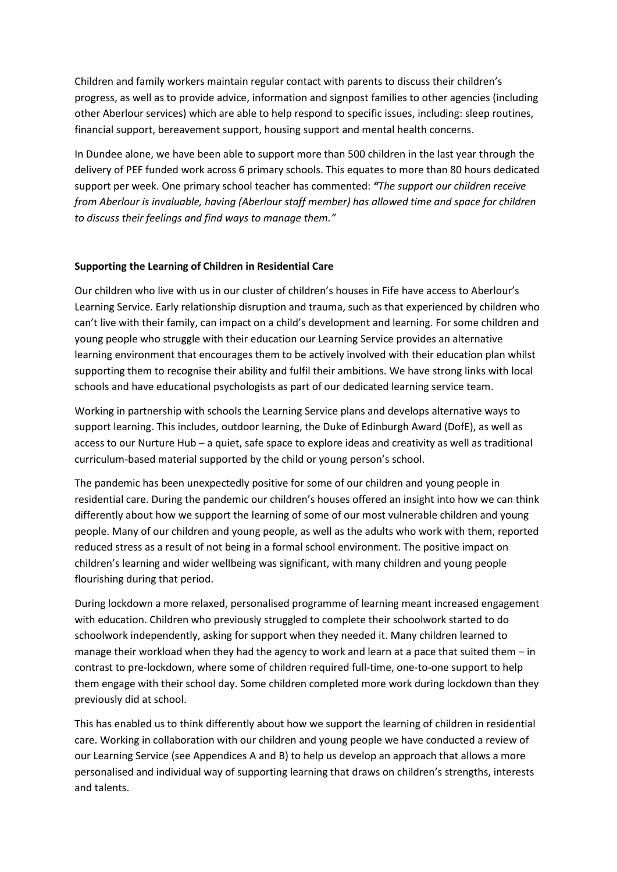Children and family workers maintain regular contact with parents to discuss their children's progress, as well as to provide advice, information and signpost families to other agencies (including other Aberlour services) which are able to help respond to specific issues, including: sleep routines, financial support, bereavement support, housing support and mental health concerns.

In Dundee alone, we have been able to support more than 500 children in the last year through the delivery of PEF funded work across 6 primary schools. This equates to more than 80 hours dedicated support per week. One primary school teacher has commented: *"The support our children receive from Aberlour is invaluable, having (Aberlour staff member) has allowed time and space for children to discuss their feelings and find ways to manage them."*

# **Supporting the Learning of Children in Residential Care**

Our children who live with us in our cluster of children's houses in Fife have access to Aberlour's Learning Service. Early relationship disruption and trauma, such as that experienced by children who can't live with their family, can impact on a child's development and learning. For some children and young people who struggle with their education our Learning Service provides an alternative learning environment that encourages them to be actively involved with their education plan whilst supporting them to recognise their ability and fulfil their ambitions. We have strong links with local schools and have educational psychologists as part of our dedicated learning service team.

Working in partnership with schools the Learning Service plans and develops alternative ways to support learning. This includes, outdoor learning, the Duke of Edinburgh Award (DofE), as well as access to our Nurture Hub – a quiet, safe space to explore ideas and creativity as well as traditional curriculum-based material supported by the child or young person's school.

The pandemic has been unexpectedly positive for some of our children and young people in residential care. During the pandemic our children's houses offered an insight into how we can think differently about how we support the learning of some of our most vulnerable children and young people. Many of our children and young people, as well as the adults who work with them, reported reduced stress as a result of not being in a formal school environment. The positive impact on children's learning and wider wellbeing was significant, with many children and young people flourishing during that period.

During lockdown a more relaxed, personalised programme of learning meant increased engagement with education. Children who previously struggled to complete their schoolwork started to do schoolwork independently, asking for support when they needed it. Many children learned to manage their workload when they had the agency to work and learn at a pace that suited them – in contrast to pre-lockdown, where some of children required full-time, one-to-one support to help them engage with their school day. Some children completed more work during lockdown than they previously did at school.

This has enabled us to think differently about how we support the learning of children in residential care. Working in collaboration with our children and young people we have conducted a review of our Learning Service (see Appendices A and B) to help us develop an approach that allows a more personalised and individual way of supporting learning that draws on children's strengths, interests and talents.